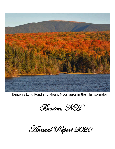

Benton's Long Pond and Mount Moosilauke in their fall splendor

Benton, NH

Annual Report 2020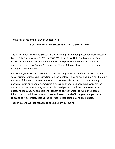To the Residents of the Town of Benton, NH:

# **POSTPONEMENT OF TOWN MEETING TO JUNE 8, 2021**

The 2021 Annual Town and School District Meetings have been postponed from Tuesday March 9, to Tuesday June 8, 2021 at 7:00 PM at the Town Hall. The Moderator, Select Board and School Board all voted unanimously to postpone the meeting under the authority of Governor Sununu's Emergency Order #83 to postpone, reschedule, and manage annual meetings.

Responding to the COVID-19 virus in public meeting settings is difficult with masks and social distancing imposing restrictions on social interaction and spacing in a small building. Because of the virus, some residents would not feel safe or comfortable attending and participating in our annual democratic process. With vaccines becoming available for our most vulnerable citizens, more people could participate if the Town Meeting is postponed to June. As an additional benefit of postponement to June, the Board of Education staff will have more accurate estimates of end of fiscal year budget status to assist us in accurately setting the tax rate to keep it stable and predictable.

Thank you, and we look forward to seeing all of you in June.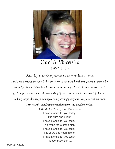

# Carol A. Vincelette 1957-2020

"Death is just another journey we all must take…" J.R.R. Tolkien

Carol's smile entered the room before the door was open and her charm, grace and personality was not far behind. Many here in Benton knew her longer than I did and I regret I didn't get to appreciate who she really was in daily life with her passion to help people feel better, walking the pond road, gardening, canning, writing poetry and being a part of our town.

I can hear the angels sing when she entered the kingdom of God.

*A Smile for You* by Carol Vincelette I have a smile for you today, It is pure and bright. I have a smile for you today, To dry the tears of the night. I have a smile for you today, It is yours and yours alone. I have a smile for you today, Please, pass it on….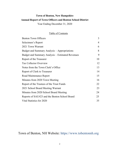# **Town of Benton, New Hampshire Annual Report of Town Officers and Benton School District**

Year Ending December 31, 2020

# Table of Contents

| <b>Benton Town Officers</b>                      | 3  |
|--------------------------------------------------|----|
| Selectmen's Report                               | 4  |
| 2021 Town Warrant                                | 6  |
| Budget and Summary Analysis - Appropriations     | 8  |
| Budget and Summary Analysis – Estimated Revenues | 9  |
| Report of the Treasurer                          | 10 |
| <b>Tax Collector Overview</b>                    | 12 |
| Notes from the Town Clerk's Office               | 13 |
| Report of Clerk to Treasurer                     | 14 |
| Road Maintenance Report                          | 15 |
| Minutes from 2020 Town Meeting                   | 16 |
| Report of the Trustees of the Trust Funds        | 22 |
| 2021 School Board Meeting Warrant                | 23 |
| Minutes from 2020 School Board Meeting           | 24 |
| Reports of SAU#23 and the Benton School Board    | 25 |
| Vital Statistics for 2020                        | 35 |
|                                                  |    |

Town of Benton, NH Website: https:/[/www.tobentonnh.org](http://www.tobentonnh.org/)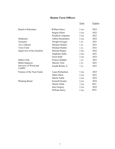# **Benton Town Officers**

|                                |                     | <u>Term</u> | <b>Expires</b> |
|--------------------------------|---------------------|-------------|----------------|
| Board of Selectmen             | William Darcy       | $3$ yrs.    | 2023           |
|                                | Regina Elliott      | $3$ yrs.    | 2022           |
|                                | Kimberli Carpenter  | 3 yrs.      | 2021           |
| Moderator                      | Gilbert Richardson  | 2 yrs.      | 2022           |
| Treasurer                      | Dwight Swauger      | $1 \, yr.$  | 2021           |
| Tax Collector                  | Michael Stiebitz    | $1 \, yr.$  | 2021           |
| <b>Town Clerk</b>              | Michael Stiebitz    | $1 \, yr.$  | 2021           |
| Supervisor of the Checklist    | Richard Paquin      | $3$ yrs.    | 2022           |
|                                | Stephanie Saffo     | 3 yrs.      | 2021           |
|                                | Erich Saffo         | $3$ yrs.    | 2023           |
| <b>Ballot Clerk</b>            | Frances Hadden      | $1 \, yr.$  | 2021           |
| <b>Ballot Inspector</b>        | Maxine Tyler        | $1 \, yr.$  | 2021           |
| Surveyor of Wood and<br>Lumber | Joseph Boutin, Jr   | $1 \, yr.$  | 2021           |
| Trustees of the Trust Funds    | Laura Richardson    | $3$ yrs.    | 2023           |
|                                | Mark Elliott        | $3$ yrs.    | 2021           |
|                                | <b>Martin Noble</b> | 3 yrs.      | 2022           |
| <b>Planning Board</b>          | Kenneth Kealey      | 3 yrs.      | 2022           |
|                                | <b>Martin Noble</b> | 3 yrs.      | 2021           |
|                                | Sam Gregory         | $3$ yrs.    | 2023           |
|                                | William Darcy       | 3 yrs.      | 2023           |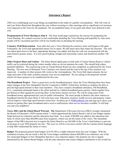### **Selectmen's Report**

2020 was a challenging year to get things accomplished in the midst of a global viral pandemic. Still, life went on and your Select Board met throughout the year without resorting to video meetings and no significant cost increases were imposed on the Town by the pandemic. We accomplished many of our goals and others were deferred to this year.

**Postponement of Town Meeting to June 8** The front inside page summarizes the reasons for postponing the Town Meeting. We wanted everyone to feel comfortable attending the Town Meeting and hopefully by June more people will be vaccinated and there will be less health risks in attending the meeting.

**Cemetery Wall Rejuvenation** Soon after last year's Town Meeting the cemetery stone wall began to fall apart. Fortunately, the Town had appropriated money for its repair. We did much more than repair the structure. The wall was taken apart down to the base, appropriate drainage was added, and then the wall was reconstructed with the same historic granite stones. It is now good looking, straight and structurally sound, and should last another 100 years.

**Other Projects Done and Undone** The Select Board added gates at both ends of Tunnel Stream Road so vehicle traffic can be restricted during the winter months when we do not maintain the roads. This should help reduce potential liabilities. The road paving work on Tunnel Stream Road was also completed, as authorized by the Town Meeting. The new area of Mountain View Cemetery was cleared and the road to the top of the cemetery was improved. A number of other projects fell victim to the viral pandemic: The Town Hall improvements, the tax maps and some of the other cemetery projects were not accomplished. We are asking in the proposed warrant articles for those projects to be reauthorized for this year.

**The Broadband Project** There is good news on the broadband project. Since the Town Meeting there have been major changes at the New Hampshire Electric Cooperative (NHEC) which have led them to embrace the duty to provide high speed internet to their rural members. They have created a broadband subsidiary, NH Broadband, LLC, committed substantial funds to the effort and bid on a federal broadband grant auction, which together have put Benton on their agenda for receiving fiber- to-the-home internet services. We will be using some of the broadband money appropriated last year for public information. The more people in Benton who show interest in broadband internet the more likely it will come here soon. Education, business, health services and property values will all improve when high speed internet comes here. So please go to [NHBroadband.com](http://www.nhbroadband.com/) and sign up to show your interest in getting fiber optic broadband and to receive notifications when service becomes available. It will help you and your neighbors!

**Taxes, DRA and the School Board Warrant The** Department of Revenue Services (DRA) wrongly interpreted the Board of Education's 2020 warrant article 7, which apportioned the School Board's end of year budget surplus funds between tax reduction and the education trust fund. As a result, \$100,000 was added to the education trust fund, of which more than \$60,000 came from taxpayers, which was not the intent of the voters. The immediate impact of that DRA decision was to require the Select Board to use \$65,000 of the Town's fund balance to prevent an increase in your 2020 property tax rate. This year we will be even more careful with the warrant article language to help DRA understand the intent of voters.

**Budget** The proposed general fund budget of \$129,100 is a slight reduction from last year's budget. With the estimated revenues, the net result is that the Town budget contributes almost \$40,000 to tax reduction, one of the few municipal budgets in New Hampshire that have a tax reduction impact. Our property tax rate is largely determined by the School Board budget, with the state education and county budgets contribution to the overall tax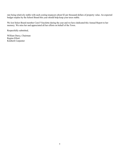rate being relatively stable with each costing taxpayers about \$2 per thousand dollars of property value. An expected budget surplus by the School Board this year should help keep your taxes stable.

We lost Select Board member Carol Vincelette during the year and we have dedicated this Annual Report to her memory. We miss her and appreciated all her efforts on behalf of the Town.

Respectfully submitted,

William Darcy, Chairman Regina Elliott Kimberli Carpenter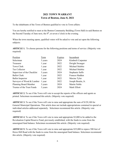# **2021 TOWN WARRANT Town of Benton, June 8, 2021**

To the inhabitants of the Town of Benton qualified to vote in Town affairs:

You are hereby notified to meet at the Benton Community Building (Town Hall) in said Benton on the Second Tuesday of June next, the  $8<sup>th</sup>$ , at seven o'clock in the evening.

When the town meeting opens, qualified voters will be asked to vote and act upon the following subjects:

**ARTICLE 1.** To choose persons for the following positions and terms of service: (Majority vote required)

| Position                     | Term    | Expires | Incumbent             |
|------------------------------|---------|---------|-----------------------|
| Selectman                    | 3 years | 2024    | Kimberli Carpenter    |
| Treasurer                    | 1 year  | 2022    | Dwight Swauger        |
| Town Clerk                   | 1 year  | 2022    | Michael Stiebitz      |
| Tax Collector                | 1 year  | 2022    | Michael Stiebitz      |
| Supervisor of the Checklist  | 3 years | 2024    | Stephanie Saffo       |
| <b>Ballot Clerk</b>          | 1 year  | 2022    | <b>Frances Hadden</b> |
| <b>Ballot Inspector</b>      | 1 year  | 2022    | Maxine Tyler          |
| Surveyor of Wood & Lumber    | 1 year  | 2022    | Joseph Boutin, Jr.    |
| <b>Planning Board Member</b> | 3 years | 2024    | <b>Martin Noble</b>   |
| Trustee of the Trust Funds   | 3 years | 2024    | Mark Elliott          |

**ARTICLE 2.** To see if the Town will vote to accept the reports of the officers and agents as printed. Selectmen recommend this article. (Majority vote required)

**ARTICLE 3.** To see if the Town will vote to raise and appropriate the sum of \$129,100 for General Municipal Operations. This article does not include appropriations contained in special or individual articles addressed separately. Selectmen recommend this article. (Majority vote required)

**ARTICLE 4**. To see if the Town will vote to raise and appropriate \$3,000 to be added to the Revaluation Capital Reserve Fund, previously established, with the funds to come from the unassigned fund balance. Selectmen recommend this article. (Majority vote required)

**ARTICLE 5.** To see if the Town will vote to raise and appropriate \$35,000 to repave 500 feet of Howe Hill Road with the funds to come from the unassigned fund balance. Selectmen recommend this article. (Majority vote required)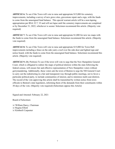**ARTICLE 6.** To see if the Town will vote to raise and appropriate \$15,000 for cemetery improvements, including a survey of new grave sites, gravestone repair and a sign, with the funds to come from the unassigned fund balance. This special warrant article will be a non-lapsing appropriation per RSA 32:7, VI and will not lapse until the cemetery improvements are completed or by December 31, 2022, whichever is sooner. Selectmen recommend this article. (Majority vote required)

**ARTICLE 7.** To see if the Town will vote to raise and appropriate \$1,000 for new tax maps with the funds to come from the unassigned fund balance. Selectmen recommend this article. (Majority vote required)

**ARTICLE 8.** To see if the Town will vote to raise and appropriate \$15,000 for Town Hall improvements including a fence on the side yard, a roof over the side door and lighted sign and notice board, with the funds to come from the unassigned fund balance. Selectmen recommend this article. (Majority vote required)

**ARTICLE 9.** (By Petition) To see if the town will vote to urge that the New Hampshire General Court, which is obligated to redraw the maps of political districts within the state following the federal census, will ensure fair and effective representation of New Hampshire voters without gerrymandering. Additionally, these voters ask the town of Benton to urge the NH General Court to carry out the redistricting in a fair and transparent way through public meetings, not to favor a particular political party, to include communities of interest, and to minimize multi-seat districts. The record of the vote approving this article shall be transmitted by written notice from town officials to Benton's state legislators, informing them of the demands from their constituents within 30 days of the vote. (Majority vote required) (Selectmen oppose this Article)

Signed and Attested: February 22, 2021

Board of Selectmen

/s/ William Darcy, Chairman /s/ Regina Elliott /s/ Kimberli Carpenter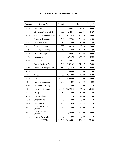### **2021 PROPOSED APPROPRIATIONS**

| Account | Charge Point                    | <b>Budget</b>    | Spent     | Balance   | Proposed<br>2021 |
|---------|---------------------------------|------------------|-----------|-----------|------------------|
| 4130    | Executive                       | 9,000            | 7,305.98  | 1,694.02  | 8,000            |
| 4140    | Election & Town Clerk           | 4,750            | 4,524.16  | 225.84    | 4,750            |
| 4150    | <b>Financial Administration</b> | 10,400           | 9,224.84  | 1,175.16  | 10,000           |
| 4152    | <b>Property Revaluation</b>     | 5,500            | 4,992.00  | 508.00    | 6,500            |
| 4153    | Legal Expenses                  | 250              | 0.00      | 250.00    | 250              |
| 4155    | Personnel Admin                 | 2,000            | 1,331.10  | 668.90    | 2,000            |
| 4193    | Planning & Zoning               | 250              | 110.60    | 139.40    | 250              |
| 4194    | Gov't Buildings                 | 5,000            | 3,894.05  | 1,105.95  | 5,000            |
| 4195    | Cemeteries                      | 4,000            | 3,755.93  | 244.07    | 4,000            |
| 4196    | Insurance                       | 1,350            | 1,305.12  | 44.88     | 1,400            |
| 4197    | Ads & Regional Assoc.           | 2,500            | 1,821.63  | 678.37    | 2,000            |
| 4199    | Avitar (SW Supp/Maint)          | 2,550            | 2,538.40  | 11.60     | 2,600            |
| 4210    | Police                          | 1,500            | 1,500.00  | 0.00      | 1,500            |
| 4215    | Ambulance                       | 6,200            | 6,157.00  | 43.00     | 7,600            |
| 4220    | Fire                            | 10,000           | 10,000.00 | 0.00      | 10,000           |
| 4240    | <b>Building Inspection</b>      | 200              | 0.00      | 200.00    | 200              |
| 4299    | Other Public Safety             | $\boldsymbol{0}$ | 0.00      | 0.00      | $\theta$         |
| 4312    | Highways & Streets              | 63,000           | 35,953.18 | 27,046.82 | 60,000           |
| 4313    | <b>Bridges</b>                  | 250              | 0.00      | 250.00    | 250              |
| 4316    | <b>Street Lighting</b>          | 300              | 272.96    | 27.04     | 300              |
| 4319    | Other Streets                   | $\boldsymbol{0}$ | 0.00      | 0.00      | $\theta$         |
| 4414    | Pest Control                    | 250              | 173.86    | 76.14     | 250              |
| 4442    | Direct Assistance<br>Welfare    | 250              | 0.00      | 250.00    | 250              |
| 4444    | Intergovernmental<br>Welfare    | 2,000            | 1,500.00  | 500.00    | 2,000            |
| 4445    | <b>Vendor Payments</b>          | $\boldsymbol{0}$ | 0.00      | 0.00      | $\mathbf{0}$     |
|         | <b>TOTALS</b>                   | 131,500          | 96,360.81 | 35,139.19 | 129,100          |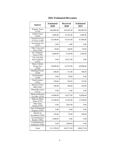| <b>Source</b>                            | <b>Estimated</b><br>2020 | <b>Received</b><br>2020 | <b>Estimated</b><br>2021 |
|------------------------------------------|--------------------------|-------------------------|--------------------------|
| <b>Property Taxes</b><br>(3110)          | 444,000.00               | 439,203.00              | 440,000.00               |
| <b>Timber Taxes</b><br>(3185)            | 3,000.00                 | 10,392.00               | 3,000.00                 |
| Payment in Lieu<br>of Taxes (3186)       | 65,500.00                | 67,057.00               | 67,000.00                |
| <b>Excavation Tax</b><br>(3187)          | 0.00                     | 0.00                    | 0.00                     |
| Other Taxes and<br>Fees (3189)           | 50.00                    | 360.00                  | 50.00                    |
| Int./ Penalties/<br>Taxes (3190)         | 4,000.00                 | 3,478.00                | 3,500.00                 |
| Tax Lien Dep<br>from Collector<br>(3191) | 0.00                     | 18,871.00               | 0.00                     |
| Motor Vehicle<br>Permit Fees<br>(3220)   | 58,000.00                | 65,767.00               | 60,000.00                |
| <b>Building Permits</b><br>(3230)        | 400.00                   | 715.00                  | 500.00                   |
| <b>Pistol Permits</b><br>(3290)          | 0.00                     | 50.00                   | 0.00                     |
| Dog Licenses<br>(3291)                   | 350.00                   | 348.50                  | 325.00                   |
| Rental of Town<br>Hall (3292)            | 100.00                   | 100.00                  | 100.00                   |
| <b>Shared Revenues</b><br>(3311)         | 0.00                     | 0.00                    | 0.00                     |
| Meals and Rooms<br>Tax Dist. (3352)      | 19,000.00                | 19,077.00               | 19,000.00                |
| <b>Highway Block</b><br>Grant (3353)     | 15,300.00                | 15,436.00               | 15,300.00                |
| Other State<br><b>Grants</b> (3359)      | 0.00                     | 3,981.00                | 0.00                     |
| Sale of Municipal<br>Property (3501)     | 0.00                     | 0.00                    | 0.00                     |
| Interest on<br>Investment (3502)         | 120.00                   | 95.00                   | 100.00                   |
| Ins Dividends &<br>Reimb. (3506)         | 1,500.00                 | 0.00                    | 0.00                     |
| Contributions &<br>Donations (3508)      | 0.00                     | 3,800.00                | 0.00                     |
| Totals                                   | 611,320.00               | 648,731.00              | 608,875.00               |

# **2021 Estimated Revenues**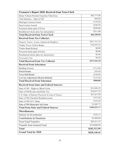| <b>Treasurer's Report 2020: Received from Town Clerk</b> |              |  |
|----------------------------------------------------------|--------------|--|
| Motor Vehicle Permits/Transfers/Titles/Fees              | \$65,777.00  |  |
| Vital Statistics - State of NH                           | \$60.00      |  |
| Marriage Licenses Issued                                 | \$150.00     |  |
| Dog Licenses Issued                                      | \$348.50     |  |
| Returned check (plus \$10 fee)                           | $-$ \$296.00 |  |
| Reimbursed check (plus fee and penalty)                  | \$311.00     |  |
| <b>Total Received from Town Clerk</b>                    | \$66,350.50  |  |
| <b>Received from Tax Collector:</b>                      |              |  |
| Property Taxes+ (Liens, Interest & Penalties)            | \$461,551.63 |  |
| <b>Timber Taxes-Timber Bonds</b>                         | \$10,391.55  |  |
| Timber Bond Refund                                       | \$0.00       |  |
| Returned check (plus \$10 fee)                           | \$0.00       |  |
| Reimbursed check (plus fee and penalty)                  | \$0.00       |  |
| <b>Excavation Tax</b>                                    | \$0.00       |  |
| <b>Total Received from Tax Collector</b>                 | \$471,943.18 |  |
| <b>Received from Selectmen:</b>                          |              |  |
| <b>Building Permits</b>                                  | \$715.00     |  |
| <b>Pistol Permits</b>                                    | \$50.00      |  |
| Town Hall Rental                                         | \$100.00     |  |
| Lot Line Adjustment (Boutin-Bullard)                     | \$125.00     |  |
| <b>Total Received from Selectmen</b>                     | \$990.00     |  |
| <b>Received from State and Federal Sources:</b>          |              |  |
| State of NH - Highway Block Grant                        | \$15,436.23  |  |
| State of NH Rooms and Meals Tax                          | \$19,077.22  |  |
| U.S. Dept. of Interior (Payment in Lieu of Taxes)        | \$67,057.00  |  |
| <b>State of NH-Checklist Reimbursement</b>               | \$275.00     |  |
| State of NH-UCC Share                                    | \$105.00     |  |
| State of NH-Municipal Aid Grant                          | \$3,600.72   |  |
| <b>Total from State and Federal Sources</b>              | \$105,551.17 |  |
| <b>Miscellaneous:</b>                                    |              |  |
| Interest on Investments                                  | \$102.12     |  |
| Contributions & Donations                                | \$3,800.00   |  |
| <b>Trust Fund Transfers</b>                              | \$29,411.47  |  |
| <b>Transfer from General Fund</b>                        | \$150,000.00 |  |
| <b>Total</b>                                             | \$183,313.59 |  |
| <b>Grand Total for 2020</b>                              | \$828,148.44 |  |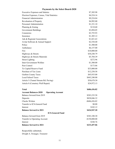### **Payments by the Select Board-2020**

| <b>Balance forward to 2021</b>                           | \$233,457.06     |
|----------------------------------------------------------|------------------|
| Interest                                                 | \$348.76         |
| <b>Transfer to Operating Account</b>                     | $-$150,000.00$   |
|                                                          | \$383,108.30     |
| <b>ICS-General Fund</b><br>Balance forward from 2019     |                  |
| <b>Balance forward to 2021</b>                           | \$424,947.20     |
| Interest                                                 | \$102.12         |
| Transfer to ICS-General Fund                             | \$0.00           |
| <b>Checks Written</b>                                    | $-$ \$686,436.82 |
| Deposits                                                 | \$828,046.32     |
| Balance forward from 2019                                | \$283,235.58     |
| <b>Account Balances-2020</b><br><b>Operating Account</b> |                  |
| <b>Total</b>                                             | \$686,436.82     |
|                                                          |                  |
| Article 8 (Cemetery Wall Repair)                         | \$24,972.13      |
| Article 5 (Tunnel Stream Rd. Paving)                     | \$30,678.30      |
| <b>Local School Taxes</b>                                | \$443,240.00     |
| <b>Grafton County Taxes</b>                              | \$45,935.00      |
| Purchase of Tax Liens                                    | \$12,250.58      |
| To Capital Reserve Fund                                  | \$33,000.00      |
| Pest Control                                             | \$173.86         |
| Inter-Government Welfare                                 | \$1,500.00       |
| <b>Street Lighting</b>                                   | \$272.96         |
| Highways & Streets Materials                             | \$5,704.39       |
| Highways & Streets                                       | \$30,248.79      |
| Fire                                                     | \$10,000.00      |
| Ambulance                                                | \$6,157.00       |
| Police                                                   | \$1,500.00       |
| Avitar Software & Annual Support                         | \$2,538.40       |
| Ads & Regional Associations                              | \$1,821.63       |
| Insurance                                                | \$1,305.12       |
| Cemeteries                                               | \$3,755.93       |
| Government Buildings                                     | \$3,894.05       |
| Planning & Zoning                                        | \$110.60         |
| <b>Personnel Administration</b>                          | \$1,331.10       |
| <b>Revaluation of Property</b>                           | \$4,992.00       |
| <b>Financial Administration</b>                          | \$9,224.84       |
| Election Expenses, Census, Vital Statistics              | \$4,524.16       |
| <b>Executive Expenses and Salaries</b>                   | \$7,305.98       |

Respectfully submitted, Dwight A. Swauger, Treasurer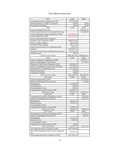| 2021                                                            | Credit                    | Debit                  |
|-----------------------------------------------------------------|---------------------------|------------------------|
| Unassigned Credits at beginning of 2021                         | \$35,287.09               |                        |
| Interest/penalties on 2020 Tax payment                          | \$0.00                    | \$0.00                 |
| Overpayments/Refunds                                            | $\overline{$}0.00$        | \$0.00                 |
| 2020                                                            | Credit                    | Debit                  |
| Taxes Committed This Year:                                      |                           | \$456,421.92           |
| Yield Taxes & Gravel Tax Committed This Year                    |                           | \$13,440.52            |
| Total Unassigned Credits at beginning of 2020                   | $(\$39,079.01)$           |                        |
| Credits Received in 2020                                        | (\$10,754.94)             |                        |
| Taxes Collected & Sent to Treasurer:                            |                           |                        |
| Property Taxes Collected in 2020                                | \$409,813.48              |                        |
| Prior yr credits assigned                                       | \$8,229.50                |                        |
| FY2020 Credits assigned                                         | \$6,312.38                |                        |
| Yield Taxes & Gravel Tax Collected in 2020                      | \$479.76                  |                        |
| Subtotal                                                        | \$424,835.12              |                        |
| Property & Yield Taxes Uncollected at year's end                | \$45,027.32               |                        |
| Refunds issued                                                  | \$0.00                    |                        |
| 2020 Tax Year Totals                                            | \$469,862.44              | \$469,862.44           |
| 2019                                                            | Credit                    | Debit                  |
| Taxes Uncollected at Beginning of 2020                          |                           | \$39,874.17            |
| Interest on Delinquent Taxes & Fees                             |                           | \$1,748.70             |
| Property & Yield Taxes Collected In 2020                        | \$28,550.21               |                        |
| Interest on Delinquent Taxes & Fees/Penalties                   | \$1,748.70<br>\$11,323.96 |                        |
| Conversion to Lien (principle only)<br><b>Refund Abatements</b> |                           |                        |
| <b>Abatements Granted</b>                                       | \$0.00<br>\$0.00          |                        |
| 2019 Tax Year Totals                                            | \$41,622.87               | \$41,622.87            |
| 2019 Liens                                                      | Credit                    | Debit                  |
| Liens Executed During 2020                                      |                           | \$12,250.58            |
| Interest on Delinquent Taxes & Fees                             |                           | \$10.69                |
| Redemptions                                                     | \$1,789.05                |                        |
| Interest & Fees                                                 | \$10.69                   |                        |
| Liens Deeded to Town                                            | \$0.00                    |                        |
| Unredeemed Lien Bal. at end of 2020                             | \$10,461.53               |                        |
| 2019 Liens Totals                                               | \$12,261.27               | \$12,261.27            |
| 2018 Liens                                                      | Credit                    | Debit                  |
| Unredeemed Liens Bal. at Beginning of 2020                      |                           | \$7,624.83             |
| Interest on Delinquent Taxes & Fees                             |                           | \$1,283.27             |
| Redemptions                                                     | \$4,621.53                |                        |
| Interest & Fees                                                 | \$1,283.27                |                        |
| Liens Deeded to Town                                            |                           |                        |
| Unredeemed Lien Bal. at end of 2020                             | \$3,003.30                |                        |
| 2018 Liens Totals                                               | \$8,908.10                | \$8,908.10             |
| 2017 Liens                                                      | Credit                    | Debit                  |
| Unredeemed Liens Bal. at Beginning of 2020                      |                           | $\overline{$}1,136.54$ |
| Interest on Delinquent Taxes & Fees                             |                           | \$435.03               |
| Redemptions                                                     | \$1,136.54                |                        |
| Interest & Fees                                                 | \$435.03                  |                        |
| Liens Deeded to Town                                            |                           |                        |
| Unredeemed Lien Bal. at end of 2020                             | \$0.00                    |                        |
| 2017 Lien Totals                                                | \$1,571.57                | \$1,571.57             |
| Net funds delivered to Treasurer in 2020                        | \$467,504.60              |                        |
| Plus 2020 Unassigned Cred. & Cred. Assigned to                  | \$4,437.58                |                        |
| Int.                                                            |                           |                        |
| Gross funds delivered to Treasurer in 2020                      | \$471,942.18              |                        |

### Tax Collector Overview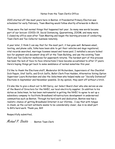### Notes from the Town Clerk's Office

2020 started off like most years here in Benton. A Presidential Primary Election was scheduled for early February, Town Meeting would follow shortly afterwards in March.

Those were the last normal things that happened last year. So many new words became part of our lexicon: COVID-19, Social Distancing, Quarantining, ZOOM, and many more. I closed my office soon after Town Meeting and began the learning process of conducting Town Clerk and Tax Collector business remotely.

A year later, I think I can say that for the most part, it has gone well. Between email, texting, and phone calls, folks have been able to get their vehicles and dogs registered, vital records searched, marriage licenses issued and taxes paid. I installed a secure locked box for payment and document drop off at the Town Building, and use the existing Town Clerk and Tax Collector mailboxes for paperwork returns. The hardest part of this process has been the lack of face-to-face interactions I have become accustomed to after 17 years. Here's hoping things get back to some semblance of normal sometime this year.

I'd like to thank the Elections staff, Moderator Gil Richardson, Supervisors of the Checklist Dick Paquin, Stef Saffo, and Erich Saffo, Ballot Clerk Fran Hadden, Alternative Voting Option Supervisor Laura Richardson and also the Selectmen who helped make our "Socially Distanced" Elections in September and November possible. In my opinion, they went off without a hitch.

I'd also like to give a shout-out to Bill Darcy, our Select Board chair who also serves as one of the Board of Directors for the NHEC, our local electricity supplier. In addition to his duties as Selectman, he has been instrumental in getting the NHEC to agree to set up a subsidiary company to facilitate Broadband infrastructure development in underserved communities such as Benton. Through his hard work and dedication, Benton now has a realistic chance of getting Broadband Internet in our lifetime… I say that with tongue in cheek, as the current estimate seems to be considerably closer, due in no small part to Bill's hard work. Thank you, Bill!

Respectfully submitted,

Michael P. Stiebitz - Benton Town Clerk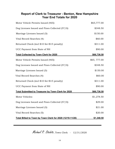# **Report of Clerk to Treasurer - Benton, New Hampshire Year End Totals for 2020**

| Motor Vehicle Permits Issued (465):                        | \$65,777.00  |
|------------------------------------------------------------|--------------|
| Dog Licenses Issued and Fines Collected (57/0):            | \$348.50     |
| Marriage Licenses Issued (3):                              | \$150.00     |
| Vital Record Searches (4):                                 | \$60.00      |
| Returned Check (incl \$10 fee+\$15 penalty)                | \$311.00     |
| UCC Payment from State of NH                               | \$90.00      |
| <b>Total Collected by Town Clerk for 2020</b>              | \$66,736.50  |
| Motor Vehicle Permits Issued (465):                        | \$65, 777.00 |
| Dog Licenses Issued and Fines Collected (57/0):            | \$348.50     |
| Marriage Licenses Issued (3):                              | \$150.00     |
| Vital Record Searches (4):                                 | \$60.00      |
| Returned Check (incl \$10 fee+\$15 penalty)                | \$311.00     |
| UCC Payment from State of NH                               | \$90.00      |
| <b>Total Submitted to Treasurer by Town Clerk for 2020</b> | \$66,736.50  |
| Motor Vehicles:                                            | \$1,278.50   |
| Dog Licenses Issued and Fines Collected (57/0):            | \$29.00      |
| Marriage Licenses Issued (3):                              | \$21.00      |
| Vital Record Searches (5):                                 | \$20.00      |
| Total Billed to Town by Town Clerk for 2020 (12/19-11/20)  | \$1,348.50   |

Michael P. Stiebitz, Town Clerk - 12/31/2020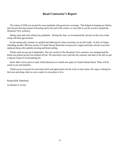# **Road Contractor's Report**

 The winter of 2020 was normal by most standards with good snow coverage. This helped in keeping our ditches and culverts flowing instead of freezing and by the end of the winter we were able to cut the wood to expand the Mountain View cemetery.

 Spring came and went without any problems. During this time, we inventoried the culverts on the town roads along with their gps location.

 In late spring-early summer we graded and added gravel where necessary on our dirt roads. In July we began rebuilding another 500-foot section of Tunnel Stream Road that was paved in August and three culverts were also replaced along with roadside mowing and brush cutting.

 Winter sand was put up in September. The new section of the Mountain View cemetery was stumped and the brush was picked up and was trucked off site. We also built a new road into the cemetery and later in the fall we put a topcoat of gravel on the parking lot.

 Snow didn't arrive quite as early which allowed us to install new gates on Tunnel Stream Road. These will be easier to use and maintain.

 Thank you to everyone for your kind words and appreciation for the work we have done. We enjoy working for the town and doing what we can to make it a nice place to live.

Respectfully Submitted,

Joe Boutin Jr. & Son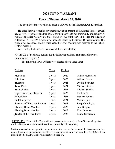# **2020 TOWN WARRANT**

# **Town of Benton March 10, 2020**

The Town Meeting was called to order at 7:00PM by the Moderator, Gil Richardson.

He asked that we recognize any members, past or present, of the Armed Forces, as well as any First Responders and thank them for their service to our community and country. A round of applause was given to those members. We were then led through the Pledge of Allegiance. At 7:04PM a motion was made to recess to the School District meeting. The motion was seconded, and by voice vote, the Town Meeting was recessed to the School District meeting.

At 7:16PM, the Moderator reconvened the Town Meeting.

**ARTICLE 1.** To choose persons for the following positions and terms of service: (Majority vote required)

The following Town Officers were elected after a voice vote:

| Position                     | Term    | Expires |                    |
|------------------------------|---------|---------|--------------------|
| Moderator                    | 2 years | 2022    | Gilbert Richardson |
| Selectman                    | 3 years | 2023    | William Darcy      |
| Treasurer                    | 1 year  | 2021    | Dwight Swauger     |
| Town Clerk                   | 1 year  | 2021    | Michael Stiebitz   |
| Tax Collector                | 1 year  | 2021    | Michael Stiebitz   |
| Supervisor of the Checklist  | 3 years | 2023    | Erich Saffo        |
| <b>Ballot Clerk</b>          | 1 year  | 2021    | Frances Hadden     |
| <b>Ballot</b> Inspector      | 1 year  | 2021    | Maxine Tyler       |
| Surveyor of Wood and Lumber  | 1 year  | 2021    | Joseph Boutin, Jr. |
| <b>Planning Board Member</b> | 3 years | 2023    | Sam Gregory        |
| <b>Planning Board Member</b> | 3 years | 2023    | Kim Carpenter      |
| Trustee of the Trust Funds   | 3 years | 2023    | Laura Richardson   |

**ARTICLE 2.** To see if the Town will vote to accept the reports of the officers and agents as printed. Selectmen recommend this article. (Majority vote required)

Motion was made to accept article as written, motion was made to amend due to an error in the report. Motion made to amend accepted. The total amount shown on page 13 is \$414,999.00 and it should be \$448,014, as shown correctly on page 14.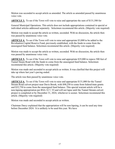Motion was seconded to accept article as amended. The article as amended passed by unanimous voice vote.

**ARTICLE 3.** To see if the Town will vote to raise and appropriate the sum of \$131,500 for

General Municipal Operations. This article does not include appropriations contained in special or individual articles addressed separately. Selectmen recommend this article. (Majority vote required)

Motion was made to accept the article as written, seconded. With no discussion, the article then was passed by unanimous voice vote.

**ARTICLE 4.** To see if the Town will vote to raise and appropriate \$3,000 to be added to the Revaluation Capital Reserve Fund, previously established, with the funds to come from the unassigned fund balance. Selectmen recommend this article. (Majority vote required)

Motion was made to accept the article as written, seconded. With no discussion, the article then was passed by unanimous voice vote.

**ARTICLE 5.** To see if the Town will vote to raise and appropriate \$35,000 to repave 500 feet of Tunnel Steam Road with the funds to come from the unassigned fund balance. Selectmen recommend this article. (Majority vote required)

Motion was made and seconded to accept article as written. It was clarified that this project will take up where last year's paving ended.

The article was then passed by unanimous voice vote.

**ARTICLE 6.** To see if the Town will vote to raise and appropriate \$131,000 for the Tunnel Stream Road culvert project near Davis Brook, with \$98,250 to come from federal/state grants and \$32,750 to come from the unassigned fund balance. This special warrant article will be a non-lapsing appropriation per RSA 32:7, VI and will not lapse until the Tunnel Stream culvert project is completed or by December 31, 2024, whichever is sooner. Selectmen recommend this article. (Majority vote required)

Motion was made and seconded to accept article as written.

Chairman Darcy explained that the appropriation will be non-lapsing, it can be used any time before December 2024. It is unlikely to be used this year. We have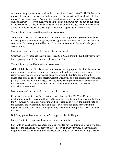environmental permits already and we have an estimated total cost of \$131,000.00 for the project. If we manage to secure a Federal grant for the project, we'll go ahead with the project. This type of grant is "competitive", so that securing one isn't necessarily based on need. However, to even qualify to be in the competition, we have to put up our share of the project cost. Since we have evidence that the culvert has destructively overflowed 3 times in modern history, we can expect that it will happen again in the future.

The article was then passed by unanimous voice vote.

**ARTICLE 7.** To see if the Town will vote to raise and appropriate \$30,000 to be added to the Capital Reserve Fund-Highways/Roads, previously established, with the funds to come from the unassigned fund balance. Selectmen recommend this article. (Majority vote required)

Motion was made and seconded to accept article as written.

Chairman Darcy explained that we transferred \$30,000.00 from the fund last year to pay for the paving project. This article replenishes the fund.

The article was passed by unanimous voice vote.

**ARTICLE 8.** To see if the Town will vote to raise and appropriate \$25,000 for cemetery improvements, including repair of the retaining wall and gravestones, tree clearing, stump removal, a survey of new grave sites, and a sign, with the funds to come from the unassigned fund balance. This special warrant article will be a non-lapsing appropriation per RSA 32:7, VI and will not lapse until the cemetery improvements are completed or by December 31, 2021, whichever is sooner. Selectmen recommend this article. (Majority vote required)

Motion was made and seconded to accept article as written.

Chairman Darcy stated that "even to the casual observer" the Mt. View Cemetery is in need of much work. He reported that the Selectboard have been in touch with folks from the NH Graves Association. A meeting will be scheduled to review the current state of the cemetery and to hopefully develop a set of guidelines for going forward with the repairs. He pointed out that we will spend only the amount appropriated during the next two years.

Bill Darcy pointed out that clearing of the upper reaches had begun.

Laurie Elliott stated work on the damaged stones should be a priority.

Stef Saffo asked about the cemetery wall. Bill pointed out that this fund is mainly to fund repairs to the collapsing wall between the cemetery and Coventry Rd. If the wall has a major collapse, the Town could incur serious debt. It does not seem like a simple repair,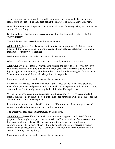as there are graves very close to the wall. A comment was also made that the original stones should be reused, as they help define the character of the Mt. View Cemetery.

Gina Elliott mentioned the plan to construct a "Mt. View Cemetery" sign, and remove the current "Benton" sign.

Gil Richardson asked for and received confirmation that this fund is only for the Mt. View Cemetery.

The article was then passed by unanimous voice vote.

**ARTICLE 9.** To see if the Town will vote to raise and appropriate \$1,000 for new tax maps with the funds to come from the unassigned fund balance. Selectmen recommend this article. (Majority vote required)

Motion was made and seconded to accept article as written.

After a brief discussion, the article was then passed by unanimous voice vote.

**ARTICLE 10.** To see if the Town will vote to raise and appropriate \$15,000 for Town Hall improvements, including a fence on the side yard, a roof over the side door and lighted sign and notice board, with the funds to come from the unassigned fund balance. Selectmen recommend this article. (Majority vote required)

Motion was made and seconded to accept article as written.

Chairman Darcy stated that this article will fund a fence on the side yard to block the view of the generator and propane tank. It also will serve to prevent vehicles from driving on the side yard potentially damaging the leach field and/or septic tank.

We will also construct an illuminated sign board with a roof over it so that important official announcements can be posted. It is envisioned that there will also be space for the "Benton" town name to be displayed.

In addition, a dormer above the side entrance will be constructed, ensuring access and egress even when there is ice and snow on the main roof.

The article was then passed unanimously by voice vote.

**ARTICLE 11.** To see if the Town will vote to raise and appropriate \$25,000 for the purpose of bringing higher speed internet service to Benton, with the funds to come from the unassigned fund balance. This special warrant article will be a non-lapsing appropriation per RSA 32:7, VI and will not lapse until the internet service project is completed or by December 31, 2022, whichever is sooner. Selectmen recommend this article. (Majority vote required)

Motion was made and seconded to accept article as written.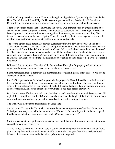Chairman Darcy described most of Benton as being in a "digital desert", especially Mt. Moosilauke Hwy, Tunnel Stream Rd. and High St. He has corresponded with the Sandwich, NH Broadband Committee to see what ideas and strategies that town is pursuing to improve broadband access.

There are two main approaches 1) improving the current DSL infrastructure by extending the fiber cables to new access equipment closer to the underserved customers, and 2) creating a "fiber to the home" approach which would involve running fiber lines to every customer and installing fiber terminals in each home or business. Option #1 would most likely be the least expensive, and would result in most customers being able to get 25 Mb/s download speeds.

The second option could potentially provide customers with up to 150Mb/s download and up to 75Mb/s upload speeds. The fiber proposal is being implemented in Chesterfield, NH where the town partnered with Consolidated Communications. Chesterfield issued a bond to fund the installation of the fiber network and Consolidated agreed to pay off the bond over time. Sandwich is also trying to convince New Hampshire Electric Coop which owns most of the utility poles in their town (similar to Benton's situation) to "facilitate" installation of fiber cables on their poles to help with "Broadband Expansion".

Bill stated that having true "Broadband" in Benton should be a plus for property values in today's work from home environment. He envisions this being a 3-year project.

Laura Richardson made a point that this current fund is for planning/grant study only – it will not be expended on any hardware.

Lara Saffo explained that she is working on a similar project for Haverhill and is very familiar with the grants that are available and the processes involved in applying for them. She is very willing to work with our Selectboard on this project. She asked if Benton had passed a warrant article allowing us to accept grants. Bill stated that such a warrant article has been passed previously.

Dick Paquin asked if this would help with the "dead zones" prevalent with our cellphone service. Bill replied that it would not, but that T-Mobile intends to increase the height of the tower in Easton and a new wireless tower has been approved for Woodsville above the Cottage Hospital.

The article was then passed unanimously by voice vote.

**ARTICLE 12.** To see if the Town will vote to set the annual compensation of the Tax Collector at \$2,000 plus statutory fees, with the net increase of \$500 to be funded this year from the unassigned fund balance. Selectmen recommend this article. (Majority vote required)

Motion was made to accept the article as written, seconded. With no discussion, the article then was passed by unanimous voice vote.

**ARTICLE 13.** To see if the Town will vote to set the annual compensation for Town Clerk at \$2,000 plus statutory fees, with the net increase of \$500 to be funded this year from the unassigned fund balance. Selectmen recommend this article. (Majority vote required)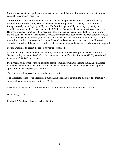Motion was made to accept the article as written, seconded. With no discussion, the article then was passed by unanimous voice vote.

**ARTICLE 14.** To see if the Town will vote to modify the provisions of RSA 72:39-a for elderly exemption from property tax, based on assessed value, for qualified taxpayers, to be as follows: for a person 65 years of age up to 75 years, \$10,000; for a person 75 years of age up to 80 years, \$15,000, for a person 80 years of age or older \$20,000. To qualify, the person must have been a New Hampshire resident for at least 3 consecutive years, own the real estate individually or jointly, or if the real estate is owned by such person's spouse, they must have been married to each other for at least 5 consecutive years. In addition, the taxpayer must have a net income of not more than \$20,000 or, if married, a combined net income of less than \$30,000; and own net assets not in excess of \$50,000, excluding the value of the person's residence. Selectmen recommend this article. (Majority vote required)

Motion was made to accept the article as written, seconded.

Chairman Darcy stated that there are statutory minimums for these exemptions defined in the RSA. We are moving them up \$5,000.00 on the assessment which, if the Tax Rate was \$18.00, would result in an extra \$90.00 off the tax due.

Dick Paquin asked what oversight exists to assure compliance with the income limits. Bill explained that the Selectboard and Tax Collector will review the applications and the applicant must sign his application under the penalty of perjury.

The article was then passed unanimously by voice vote.

The Moderator asked for and received a motion and a second to adjourn the meeting. The meeting was adjourned by unanimous voice vote at 8:26 PM.

Selectwoman Gina Elliott administered the oath of office to all the newly elected present.

A true copy, Attest

Michael P. Stiebitz – Town Clerk of Benton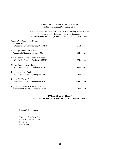# **Report of the Trustees of the Trust Funds**

For the Year Ending December 31, 2020

Funds donated to the Town of Benton are in the custody of the Trustees. Donations are distributed as specified by the donors. Woodsville Guaranty Savings Bank in Woodsville, NH holds all funds.

| Status of the Funds is as follows:                                            |              |
|-------------------------------------------------------------------------------|--------------|
| <b>Trust Fund Savings</b><br>Woodsville Guaranty Savings $#617453$            | \$1,499.01   |
| Cemetery/Common Trust Fund<br>Woodsville Guaranty Savings # 662141            | \$14,607.98  |
| Capital Reserve Fund - Highways/Roads<br>Woodsville Guaranty Savings # 655898 | \$59,605.44  |
| Capital Reserve Fund – Fires<br>Woodsville Guaranty Savings $#617456$         | \$10,876.15  |
| <b>Revaluation Trust Fund</b><br>Woodsville Guaranty Savings #655901          | \$6,034.00   |
| Expendable Trust – Schools<br>Woodsville Guaranty Savings #659291             | \$126,431.68 |
| Expendable Trust – Town Maintenance<br>Woodsville Guaranty Savings #682180    | \$30,053.41  |

#### **TOTAL HELD IN TRUST BY THE TRUSTEES OF THE TRUST FUND = \$249,107.67**

Respectfully submitted,

Trustees of the Trust Fund Laura Richardson, Chair Martin Noble Mark Elliott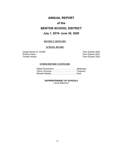# **ANNUAL REPORT**

# **of the**

# **BENTON SCHOOL DISTRICT**

# **July 1, 2019- June 30, 2020**

#### **DISTRICT OFFICERS**

#### **SCHOOL BOARD**

Joseph Boutin III, CHAIR Term Expires 2020 Kristina Harris Term Expires 2021

Term Expires 2022

### **OTHER DISTRICT OFFICERS**

**SUPERINTENDENT OF SCHOOLS** Laurie Melanson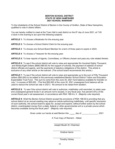#### **BENTON SCHOOL DISTRICT STATE OF NEW HAMPSHIRE 2021 SCHOOL WARRANT**

To the inhabitants of the School District of Benton in the County of Grafton, State of New Hampshire, qualified to vote in district affairs:

You are hereby notified to meet at the Town Hall in said district on the 8<sup>th</sup> day of June 2021, at 7:00 o'clock in the evening to act upon the following subjects:

**ARTICLE 1:** To choose a Moderator for the ensuing year.

**ARTICLE 2:** To choose a School District Clerk for the ensuing year.

**ARTICLE 3**: To choose one School Board Member for a term of three years to expire in 2024.

**ARTICLE 4**: To choose a Treasurer for the ensuing year.

**ARTICLE 5:** To hear reports of Agents, Committees, or Officers chosen and pass any vote related thereto.

**ARTICLE 6:** To see if the school district will vote to raise and appropriate Six Hundred Eighty Thousand, and Ninety-Eight Dollars (\$680,098.00) for the support of schools, the payment of salaries of school district officials and agents, and the payments of statutory obligations of the district. This article is exclusive of any other article on the warrant. (The school board recommends this article.)

**ARTICLE 7:** To see if the school district will vote to raise and appropriate up to the sum of Fifty Thousand dollars (\$50,000) to be added to the previously established Benton School District Tuition and Education Expendable Trust Fund. This sum to come from the June 30, 2021 fund balance available for transfer on July 1 in excess of \$55,000. (The first \$55,000 of the June 30, 2021 unassigned fund balance will be used to reduce the school tax rate in 2021). No amount to be raised from taxation.

**ARTICLE 8:** To see if the school district will vote to authorize, indefinitely until rescinded, to retain yearend unassigned general funds in an amount not to exceed, in any fiscal year, five percent (5%) of the current fiscal year's net assessment, in accordance with RSA 198:4-b, II. (Majority vote required)

**ARTICLE 9:** Shall the Benton School District accept the provisions of RSA 198:20-b providing that any school district at an annual meeting may adopt an article authorizing indefinitely, until specific rescission of such authority, the school board to apply for, accept and expend, without further action by the school district, unanticipated money from a state, federal or other governmental unit or a private source which becomes available during the fiscal year? (Majority vote required)

Given under our hands at said Benton this \_\_\_\_\_ day of \_\_\_\_\_\_\_\_\_\_\_\_\_, 2021

A True Copy of Warrant – Attest:

 $\overline{\phantom{a}}$  , where  $\overline{\phantom{a}}$  , where  $\overline{\phantom{a}}$  , where  $\overline{\phantom{a}}$ Joseph Boutin III, Chairman

 $\overline{\phantom{a}}$  , where  $\overline{\phantom{a}}$  , where  $\overline{\phantom{a}}$  , where  $\overline{\phantom{a}}$  , where  $\overline{\phantom{a}}$ Kristina Harris

 $\mathcal{L}_\text{max}$  , where  $\mathcal{L}_\text{max}$  and  $\mathcal{L}_\text{max}$ Timothy Hickey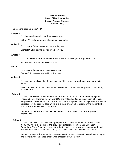### **Town of Benton State of New Hampshire School Warrant Minutes March 10, 2020**

The meeting opened at 7:04 PM.

#### **Article 1**

To· choose a Moderator for the ensuing year.

Gilbert W. Richardson was elected by voice vote.

#### **Article 2**

To choose a School Clerk for the. ensuing year.

Michael P. Stiebitz was elected by voice vote.

#### **Article 3**

To choose one School Board Member for a term of three years expiring in 2023.

Joe Boutin Ill waselected by voice vote.

#### **Article 4**

To choose a Treasurer for the ensuing year.

Penny Chicoine was elected by voice vote.

#### **Article 5**

To hear reports of Agents, Committees, or Officers chosen and pass any vote relating thereto.

Motion made to accept article as written, seconded. The article then passed unanimously on voice vote.

#### **Article 6**

To see if the school district will vote to raise and appropriate Six Hundred Eighty-Six Thousand, Four Hundred Twenty-Eight Dollars (\$686,428.00) for the support of schools, the payment of salaries of school district officials and agents, and the payments of statutory obligations of the district. This article is exclusive of any other article on the warrant (The school board recommends this article.)

Motion to accept article as written; seconded. With no discussion, article passed unanimously.

#### **Article 7**

To see if the ·district will raise and appropriate up to One Hundred Thousand Dollars (\$100,000.00) to be added to the previously established Tuition and Education Expendable Trust Fund, such amount to be funded from the year-end unassigned fund balance available on June 30, 2019. (The school board recommends this article).

Motion to accept article as written, motion made to amend, motion to amend was accepted and the following amended article was proposed by Joe Boutin: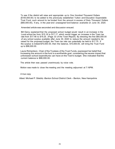To see if the district will raise and appropriate up to One Hundred Thousand Dollars (\$100,000.00) to be added to the previously established Tuition and Education Expendable Trust Fund, such amount to be funded from the amount in excess of Sixty Thousand Dollars (\$60,000.00), if any, in the year-end unassigned fund balance available on June 30, 2020.

Amended article was seconded and discussion ensued.

 Bill Darcy explained that the proposed school budget would result in an increase in the Local school tax from \$15.18 to \$17.17, which would trigger an increase in the Town tax rate from \$17.48 to \$19.25. (Page 33 of the Town Report). By directing the first \$60,000.00 of any school surplus available after June 30, 2020 to reduce the amount needed to be raised for the proposed budget, the Town tax rate can potentially be held to \$17.75. If the surplus is indeed \$70,000 .00, then the balance, \$10,000.00, will bring the Trust Fund up to \$98,000.00.

 Laura Richardson, Chair of the Trustees of the Trust Funds, expressed her belief that Increasing the amount in the fund is a worthwhile goal, considering the severe impact that unforeseen school expenditures can have on the Town's budget. She indicated that the current balance is \$88,000.00.

The article then was passed unanimously by voice vote.

Motion was made to close the meeting and the meeting adjourned at 7:16PM.

A true copy

Attest: Michael P. Stiebitz -Benton School District Clerk – Benton, New Hampshire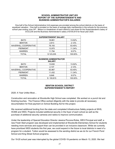#### **SCHOOL ADMINISTRATIVE UNIT #23 REPORT OF THE SUPERINTENDENT'S AND BUSINESS ADMINISTRATOR'S SALARIES**

One-half of the School Administrative Unit expenses are prorated among the school districts on the basis of equalized valuation. One-half is prorated on the basis of average daily membership in the schools for the previous school year ending June 30<sup>th</sup>. Below is a breakdown of each district's cost share for the Superintendent's salary of \$123,235 and the Business Administrator's salary of \$100,815 for fiscal year 2020.

| <b>SUPERINTENDENT SALARY</b> |           |         |  |  |
|------------------------------|-----------|---------|--|--|
| <b>BATH</b>                  | 16,661    | 13.52%  |  |  |
| <b>BENTON</b>                | 2,613     | 2.12%   |  |  |
| HAVERHILL COOPERATIVE        | 78,193    | 63.45%  |  |  |
| <b>PIERMONT</b>              | 13,975    | 11.34%  |  |  |
| <b>WARREN</b>                | 11,794    | 9.57%   |  |  |
| TOTAL                        | \$123,235 | 100.00% |  |  |

|                       | <b>BUSINESS ADMINISTRATOR</b><br><b>SALARY</b> |         |
|-----------------------|------------------------------------------------|---------|
| <b>BATH</b>           | 13,630                                         | 13.52%  |
| <b>BENTON</b>         | 2,137                                          | 2.12%   |
| HAVERHILL COOPERATIVE | 63,967                                         | 63.45%  |
| <b>PIERMONT</b>       | 11,432                                         | 11.34%  |
| WARREN                | 9,648                                          | 9.57%   |
| TOTAL                 | 100,815<br>S.                                  | 100.00% |

#### **BENTON SCHOOL DISTRICT SUPERINTENDENT'S REPORT**

2020: A Year Unlike Most…

Construction and renovation at Woodsville High School was completed. We worked on a punch list and finishing touches. The Finance Office worked diligently with the state to provide all necessary documentation for final payment on School Building Aid for this project.

We received additional funding from the state and completed Infrastructure Safety projects at WHS, HCMS and WES. Projects included additional security in the foyer of each school as well as the purchase of additional security cameras and radios to improve communication.

Under the leadership of Special Education Director Jessica Piccone-Robie, WES Principal and staff, a new Fresh Start program was developed and implemented at Woodsville Elementary School for students needing more services and support than can be provided in an inclusive classroom. While we currently have prioritized WES students this first year, we could expand in the future to local districts in need of a program for a student. Tuition would be assessed to the sending district as we do for our French Pond School and King Street School programs.

Our 19-20 school year was interrupted by the global COVID-19 pandemic on March 13, 2020. We had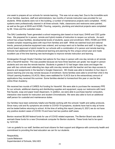one week to prepare all our schools for remote learning. This was not an easy feat. Due to the incredible work of our families, teachers, staff and administrators, two months of remote instruction was provided for our students. While students were not in the building, a number of maintenance projects were completed. HVAC systems were professionally cleaned in all three schools. Halls, classrooms and restrooms were painted, as well as the gym at WHS and HCMS. Flooring, carpentry, plumbing and electrical projects were completed by Mr. Vines and the custodial crews.

The SAU Leadership Team generated a school reopening plan based on local input, DHHS and CDC guidelines. We prepared for in person, remote and hybrid models of instruction to reopen our schools. As each school has unique facilities, developmental levels of students, space and enrollment, WES, HCMS and WHS created complex reopening plans with input from families and staff. While we watched local and national trends, personal protective equipment was ordered, and surveys went out to families and staff. In August, the school board approved a hybrid model for our schools with a combination of in person and remote learning. Schools had additional time for professional learning and planning for this unique school year and made excellent use of the time learning new technologies to improve remote instruction and learning.

Kindergarten through Grade 5 families had options for four days in person with one day remote or all remote with a Haverhill teacher. This was possible because we have three teachers per grade: two taught in person students and one was the remote teacher. Students in grades 6-12 had larger class sizes and began the year with two cohorts each attending two days with one-day remote with the teacher and two days access to lessons and assignments in the teacher's Google Classroom. 6th Grade was able to transition to four days in person learning and one-day remote because of enrollment. Some families were able to enroll their child in the Virtual Learning Academy (VLACS). Many were waitlisted for VLACS due to the extraordinary amount of applications they received this summer. Some families elected to homeschool this year or use the free online Khan Academy.

We received two rounds of CARES Act funding for Haverhill. We were able to purchase the necessary PPE for our schools, additional cleaning and disinfecting supplies and equipment, equip our restrooms with hand free faucets, soap and paper towel dispensers. In addition, we were able to purchase teacher computers, interactive view boards for instruction and student Chromebooks. We were also able to fund an additional staff person for custodial and maintenance duties.

Our families have been extremely helpful and flexible working with the schools' health and safety protocols. Since many cold and flu symptoms are similar to COVID-19 symptoms, students have had to stay at home and be tested before returning to school. At the time of writing this report (January 8, 2021) we do not have any positive student cases of COVID-19 and have had two positive staff cases.

Benton received \$6,000 federal funds for use of COVID related expenses. The Benton Board was able to earmark these funds for a new Chromebook computer for Benton students. These funds had to be spent by 12/31/20.

I am so grateful to our staff, families and local citizens for their support and diligence with community health and commitment to providing the best education we can for our students.

Respectfully, Laurie Melanson Superintendent of Schools, SAU #23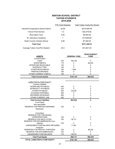#### **BENTON SCHOOL DISTRICT TUITION STUDENTS 2019-2020**

|                                       | <b>FTE Total Students</b> | <b>Total Tuition Costs Per School</b> |
|---------------------------------------|---------------------------|---------------------------------------|
| Haverhill Cooperative School District | 22.99                     | \$310,505.49                          |
| <b>French Pond School</b>             | 1.3                       | \$30,479.92                           |
| River Bend Tech                       | 0.05                      | \$9,400.00                            |
| St. Johnsbury Academy                 | 1                         | \$13,659.60                           |
| North Country Charter School          | 0.06                      | \$7,200.00                            |
| <b>Total Cost</b>                     |                           | \$371,245.01                          |
| Average Tuition Cost Per Student      | 25.4                      | \$14,041.04                           |

| <b>ASSETS</b>                              |     | <b>GENERAL FUND</b> | <b>TRUST/AGENCY</b><br><b>FUND</b> |
|--------------------------------------------|-----|---------------------|------------------------------------|
| <b>Current Assets</b>                      |     |                     |                                    |
| <b>CASH</b>                                | 100 | 190,159             | $\mathbf{0}$                       |
| <b>INVESTMENTS</b>                         | 110 | 0                   | 88,252                             |
| <b>INTERFUND RECEIVABLE</b>                | 130 | 0                   | 0                                  |
| <b>INTERGOV'T REC</b>                      | 140 | 0                   | 0                                  |
| <b>OTHER RECEIVABLES</b>                   | 150 | 1,008               | 0                                  |
| PREPAID EXPENSES                           | 180 | 0                   | $\mathbf 0$                        |
| OTHER CURRENT ASSETS                       | 190 | $\mathbf 0$         | 0                                  |
| <b>Total Current Assets</b>                |     | \$191,167           | \$88,252                           |
|                                            |     |                     |                                    |
| <b>LIABILITIES &amp; FUND EQUITY</b>       |     |                     |                                    |
| <b>Current Liabilities</b>                 |     |                     |                                    |
| <b>INTERFUND PAYABLES</b>                  | 400 | 0                   | 0                                  |
| <b>INTERGOV'T PAYABLES</b>                 | 410 | 0                   | $\mathbf 0$                        |
| <b>OTHER PAYABLES</b>                      | 420 | 93,036              | 0                                  |
| <b>ACCRUED EXPENSES</b>                    | 460 | 0                   | 0                                  |
| DEFERRED REVENUES                          | 480 | 0                   | $\pmb{0}$                          |
| OTHER CURRENT LIAB                         | 490 | $\mathbf 0$         | $\mathbf 0$                        |
| <b>Total Current Liabilities</b>           |     | \$93,036            | $\mathbf 0$                        |
| <b>Fund Equity</b>                         |     |                     |                                    |
| Non-spendable:                             |     |                     |                                    |
| RESERVE FOR PREPAID EXPENSES               | 752 | $\mathbf 0$         | $\mathbf 0$                        |
| Restricted:                                |     |                     |                                    |
|                                            |     |                     |                                    |
| Committed:<br>RESERVE FOR CONTINUING       |     |                     |                                    |
| <b>APPROPRIATIONS</b>                      | 754 | 0                   | 0                                  |
| RESERVE FOR AMTS VOTED                     | 755 | 38,131              | 0                                  |
| RESERVE FOR ENCUMBRANCES (non-             |     |                     |                                    |
| lapsing)                                   | 753 | 0                   | $\pmb{0}$                          |
| UNASSIGNED FUND BALANCE RETAINED           |     | 11,081              | $\mathbf 0$                        |
| Assigned:                                  |     |                     |                                    |
| RESERVED FOR SPECIAL PURPOSES              | 760 | 0                   | 88,252                             |
| <b>RESERVE FOR ENCUMBRANCES</b>            | 753 | 0                   | 0                                  |
| UNASSIGNED FUND BALANCE                    | 770 | 48,919              | 0                                  |
| <b>Total Fund Equity</b>                   |     | \$98,131            | \$88,252                           |
| <b>TOTAL LIABILITIES &amp; FUND EQUITY</b> |     | \$191,167           | \$88,252                           |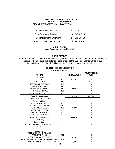#### **REPORT OF THE BENTON SCHOOL DISTRICT TREASURER FISCAL YEAR JULY 1, 2019 TO JUNE 30, 2020**

| Cash on Hand, July 1, 2019            | SS. | 83,944.18       |
|---------------------------------------|-----|-----------------|
| <b>Total Revenues Received</b>        |     | \$798,817.14    |
| <b>Total School Board Orders Paid</b> |     | \$ (692,601.38) |
| Cash on Hand June 30, 2020            |     | \$190,159.94    |

Dianne Norton SAU Accounts Receivable Clerk

#### **AUDIT REPORT**

The Benton School District has been audited by the Plodzik & Sanderson Professional Association. Copies of the audit are available for public review at the Superintendent's Office at the James R.Morrill Building, 2975 Dartmouth College Highway, No. Haverhill, NH.

#### **BENTON SCHOOL DISTRICT BALANCE SHEET**

|                                        |     |                     | <b>TRUST/AGENCY</b> |
|----------------------------------------|-----|---------------------|---------------------|
| <b>ASSETS</b>                          |     | <b>GENERAL FUND</b> | <b>FUND</b>         |
| <b>Current Assets</b>                  |     |                     |                     |
| CASH                                   | 100 | 190,159             | $\mathbf 0$         |
| <b>INVESTMENTS</b>                     | 110 | $\Omega$            | 88,252              |
| <b>INTERFUND RECEIVABLE</b>            | 130 | $\Omega$            | 0                   |
| <b>INTERGOV'T REC</b>                  | 140 | 0                   | 0                   |
| <b>OTHER RECEIVABLES</b>               | 150 | 1,008               | $\Omega$            |
| PREPAID EXPENSES                       | 180 | 0                   | 0                   |
| OTHER CURRENT ASSETS                   | 190 | 0                   | 0                   |
| <b>Total Current Assets</b>            |     | \$191,167           | \$88,252            |
| <b>LIABILITIES &amp; FUND EQUITY</b>   |     |                     |                     |
| <b>Current Liabilities</b>             |     |                     |                     |
| <b>INTERFUND PAYABLES</b>              | 400 | 0                   | 0                   |
| <b>INTERGOV'T PAYABLES</b>             | 410 | $\Omega$            | 0                   |
| <b>OTHER PAYABLES</b>                  | 420 | 93,036              | $\mathbf{0}$        |
| <b>ACCRUED EXPENSES</b>                | 460 | $\mathbf{0}$        | $\mathbf 0$         |
| <b>DEFERRED REVENUES</b>               | 480 | $\Omega$            | $\mathbf{0}$        |
| OTHER CURRENT LIAB                     | 490 | $\mathbf{0}$        | $\mathbf 0$         |
| <b>Total Current Liabilities</b>       |     | \$93,036            | $\mathbf{0}$        |
| <b>Fund Equity</b>                     |     |                     |                     |
| Non-spendable:                         |     |                     |                     |
| RESERVE FOR PREPAID EXPENSES           | 752 | $\Omega$            | $\Omega$            |
| Restricted:                            |     |                     |                     |
| Committed:                             |     |                     |                     |
| RESERVE FOR CONTINUING                 |     |                     |                     |
| <b>APPROPRIATIONS</b>                  | 754 | $\Omega$            | 0                   |
| <b>RESERVE FOR AMTS VOTED</b>          | 755 | 38,131              | 0                   |
| RESERVE FOR ENCUMBRANCES (non-lapsing) | 753 | $\Omega$            | 0                   |
| UNASSIGNED FUND BALANCE RETAINED       |     | 11,081              | $\mathbf{0}$        |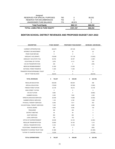| <b>TOTAL LIABILITIES &amp; FUND EQUITY</b> |     | \$191.167 | \$88,252 |
|--------------------------------------------|-----|-----------|----------|
| <b>Total Fund Equity</b>                   |     | \$98,131  | \$88,252 |
| UNASSIGNED FUND BALANCE                    | 770 | 48.919    |          |
| RESERVE FOR ENCUMBRANCES                   | 753 |           |          |
| RESERVED FOR SPECIAL PURPOSES              | 760 |           | 88.252   |
| Assigned:                                  |     |           |          |

#### **BENTON SCHOOL DISTRICT REVENUES AND PROPOSED BUDGET 2021-2022**

| <b>DESCRIPTION</b>             | FY2021 BUDGET | PROPOSED FY2022 BUDGET | <b>INCREASE / (DECREASE)</b> |
|--------------------------------|---------------|------------------------|------------------------------|
|                                |               |                        |                              |
| <b>CURRENT APPROPRIATION</b>   | 460,879       | 457,448                | (3, 431)                     |
| INTEREST ON INVESTMENT         | 25            | 20                     | (5)                          |
| PRIOR YEAR REFUND              | $\mathsf 0$   | $\mathsf 0$            | $\mathbf 0$                  |
| ADEQUACY AID (GRANT)           | 150,980       | 137,138                | (13, 842)                    |
| ADEQUACY AID (STATE TAX)       | 50,784        | 48,787                 | (1,997)                      |
| <b>VOCATIONAL ED TUITION</b>   | 3,878         | 4,112                  | 235                          |
| VOC ED TRANSPORTATION          | 239           | $\mathsf 0$            | (239)                        |
| MEDICAID REIMBURSEMENT         | 21,000        | 21,000                 | $\mathbf 0$                  |
| NATIONAL FOREST RESERVE        | 11,593        | 11,593                 | $\pmb{0}$                    |
| TRANSFER FROM EXPENDABLE TRUST | 0             | $\pmb{0}$              | $\pmb{0}$                    |
| USE OF FUND BALANCE            | 48,919        | $\mathsf 0$            | (48, 919)                    |
| <b>TOTAL REVENUES</b>          | 748,297<br>\$ | 680,098<br>\$          | (68, 199)<br>\$              |
| <b>REGULAR EDUCATION</b>       | 350,095       | 350,591                | 496                          |
| SPECIAL EDUCATION              | 175,650       | 167,850                | (7,800)                      |
| <b>FRENCH POND TUITION</b>     | 23,106        | 46,212                 | 23,106                       |
| KING STREET TUITION            | $\mathbf 0$   | $\mathbf 0$            | $\mathbf 0$                  |
| <b>VOC ED TUITION</b>          | 9,682         | $\mathbf 0$            | (9,682)                      |
| SUMMER SCHOOL                  | 5,300         | 7,600                  | 2,300                        |
| SPEECH/LANGUAGE SERVICES       | 20,406        | 14,880                 | (5, 526)                     |
| SUMMER SPEECH SERVICES         | 1,140         | 2,160                  | 1,020                        |
| PHYSICAL THERAPY SERVICES      | 6,458         | 7,011                  | 553                          |
| OCCUPATIONAL THERAPY SERVICES  | 7,224         | 9,288                  | 2,064                        |
| <b>SCHOOL BOARD</b>            | 4,946         | 5,046                  | 100                          |
| <b>TREASURER</b>               | 359           | 359                    | $\mathbf 0$                  |
| <b>DISTRICT MEETING</b>        | 94            | 94                     | 0                            |
| <b>AUDIT SERVICES</b>          | 800           | 800                    | $\mathbf 0$                  |
| <b>LEGAL SERVICES</b>          | 750           | 750                    | $\pmb{0}$                    |
| OFFICE OF SUPERINTENDENT       | 25,638        | 23,144                 | (2, 494)                     |
| REGULAR TRANSPORTATION         | 32,850        | 34,163                 | 1,313                        |
| SPECIAL TRANSPORTATION         | 9,150         | 10,150                 | 1,000                        |
| VOCATIONAL TRANSPORTATION      | 550           | $\mathbf 0$            | (550)                        |
| TRANSFER TO EXPEND TRUST FUND  | 61,869        | $\mathbf 0$            | (61, 869)                    |
| TUITION TO CHARTER SCHOOLS     | 12,230        | 0                      | (12, 230)                    |
| <b>TOTAL EXPENDITURES</b>      | 748,297<br>\$ | 680,098<br>\$          | (68, 199)<br>\$              |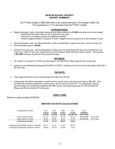#### **BENTON SCHOOL DISTRICT BUDGET SUMMARY**

The FY2022 budget is \$680,098 which is an overall decrease in the budget of \$68,199. This represents a 9.11% decrease from the FY2021 budget.

#### **EXPENDITURES:**

- Regular education tuition (including vocational and charter schools) is **\$1,690** more than the current budget.
	- o Haverhill set the tuition rate at a 3% increase for next year.
	- o There are no contingency spots for additional students.
	- o FY2022 budget includes 27 students (FY2021 budget is 29 and actual is 26 at this moment in time).
- Special education costs, including instruction, tuition, transportation, speech services, summer school, etc.
- have decreased approx. **\$6,400**.
- Article #7 from last year: Per the Department of Revenue, the entire \$100,000 was to be transferred to the Trust Fund. \$38,131 was from surplus funds and the balance of \$61,869 was raised in taxes. The expense of **\$61,869** has been reduced for this proposed budget.

#### **REVENUE:**

- As a result of a surplus in FY2020, we were able to use \$48,919 to offset taxes for the current year.
- Adequacy Aid (estimated) decreased \$15,800 for FY2022. Included one-time funds from the State of \$4,450 in the prior year.

#### **TAX RATE:**

- This budget will result in a tax rate decrease from \$20.03 to \$19.82.
- Furthermore, the Board anticipates a surplus for the current year in the amount of approx. \$60,000. If we use \$55,000 of that fund balance to reduce taxes, the tax rate will be \$17.67. For comparison, had the current budget not included the additional \$61,869, the tax rate would have been \$17.62 (not \$20.03). Please see Warrant Article #7 for this year.

#### **TRUST FUND:**

Balance is approximately \$188,252

#### **BENTON TAX RATE CALCULATIONS**

| CALENDAR/TAX YEAR                     | 2018<br>FY2019<br><b>ACTUAL</b> | 2019<br>FY2020<br><b>ACTUAL</b> | 2020<br>FY2021<br><b>ACTUAL</b> | 2021<br>FY2022<br><b>PROJECTED</b> | 2020<br><b>CURRENT</b><br><b>VALUATION</b> |             |
|---------------------------------------|---------------------------------|---------------------------------|---------------------------------|------------------------------------|--------------------------------------------|-------------|
| Local Property Tax Rate               | \$11.57                         | \$15.18                         | \$17.97                         | \$17.84                            | \$25,642,989                               | Per \$1,000 |
| State Property Tax Rate               | \$2.48                          | \$2.30                          | \$2.06                          | \$1.98                             | \$24,682,989                               | Per \$1,000 |
| <b>Total School Tax Rate</b>          | \$14.05                         | \$17.48                         | \$20.03                         | \$19.82                            |                                            |             |
| INCREASE (DECREASE) FROM PY YEAR \$\$ | (\$3.71)                        | \$3.43                          | \$2.55                          | (\$0.21)                           |                                            |             |
| INCREASE (DECREASE) FROM PY YEAR %    | $-20.89\%$                      | 24.41%                          | 14.59%                          | $-1.07%$                           |                                            |             |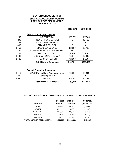#### **BENTON SCHOOL DISTRICT SPECIAL EDUCATION PROGRAMS PREVIOUS TWO FISCAL YEARS PER RSA 32:11-a**

**2018-2019 2019-2020 Special Education Expenses** 1200 INSTRUCTION 129,721 127,955<br>1230 FRENCH POND SCHOOL 0 30.423 **ERENCH POND SCHOOL** 

|      | <b>Total District Expenses</b> | \$187,911 | \$201,935     |
|------|--------------------------------|-----------|---------------|
| 2722 | <b>TRANSPORTATION</b>          | 12,800    | 2,679         |
| 2163 | OCCUPATIONAL THERAPY           | 13,040    | 12,049        |
| 2162 | PHYSICAL THERAPY               | 9,522     | 7,950         |
| 2159 | SUMMER SCHOOL SPEECH/LANG      | 239       | 90            |
| 2150 | SPEECH/LANGUAGE                | 22,589    | 20,789        |
| 1430 | <b>SUMMER SCHOOL</b>           | 0         | 0             |
| 1231 | KING STREET SCHOOL             | 0         | 0             |
| 120U | FREINUM FUIND OUMUUL           | υ         | <b>JU.42J</b> |

|  | <b>Special Education Revenues</b> |  |
|--|-----------------------------------|--|
|  |                                   |  |

|      | <b>Total District Revenues</b>           | \$59,044 | \$44,082 |  |
|------|------------------------------------------|----------|----------|--|
| 4580 | Medicaid                                 | 45.384   | 26,141   |  |
| 3230 | Catastrophic Aid                         |          |          |  |
| 3110 | <b>SPED Portion State Adequacy Funds</b> | 13,660   | 17.941   |  |

#### **DISTRICT ASSESSMENT SHARES AS DETERMINED BY NH RSA 194-C:9**

|                                   | 2019-2020     | 2020-2021     | <b>INCREASE/</b> |
|-----------------------------------|---------------|---------------|------------------|
| <b>DISTRICT</b>                   | <b>BUDGET</b> | <b>BUDGET</b> | (DECREASE)       |
| <b>BATH</b>                       | 169,967       | 159,648       | (10, 319)        |
| <b>BENTON</b>                     | 26.701        | 25,638        | (1,063)          |
| <b>HAVERHILL</b>                  | 797,360       | 791,526       | (5,834)          |
| <b>PIERMONT</b>                   | 142.502       | 136.990       | (5, 512)         |
| <b>WARREN</b>                     | 120,235       | 125,061       | 4,826            |
| <b>TOTAL DISTRICT ASSESSMENTS</b> | \$1,256,765   | \$1,238,863   | (\$17,902)       |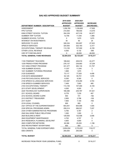#### **2019-2020 2020-2021 APPROVED APPROVED INCREASE/ DEPARTMENT NUMBER / DESCRIPTION BUDGET BUDGET (DECREASE)** ASSESSMENT 1,256,765 1,238,863 -17,902 FPS TUITION 210,500 196,930 -13,570 KING STREET SCHOOL TUITION 354,339 437,316 82,977 SUMMER TRIP TUITION 12.706 11.040 -1.666 SUMMER SCHOOL TUITION  $0$  1,670 1,670 1,670 INTEREST ON INVESTMENTS  $35$  60 25 SERVICES TO LEA'S 326,334 353,857 27,523 SPEECH SERVICES 324,500 322,183 -2,317 OCCUPATIONAL THERAPY REVENUE  $113.155$  107,000 -6,155 OTHER LOCAL REVENUE  $6,500$  6,132 -368 USE OF FUND BALANCE  $\qquad \qquad 0 \qquad \qquad 48.000 \qquad \qquad 48.000$ **TOTAL GENERAL FUND REVENUES \$2,604,834 \$2,723,051 \$118,217** 1100 ITINERANT TEACHERS 186,642 208,919 22,277 1230 FRENCH POND PROGRAM 276.137 238.883 -37.254 1231 KING STREET PROGRAM 331,377 383,134 51,757 1430 SUMMER SCHOOL 11,037 11,040 3 1431 SUMMER TUTORING PROGRAM 1,669 1,670 1 2120 GUIDANCE 73,117 77,525 4,408 2125 DATA MANAGEMENT 64.125 55.701 1.576 2140 PSYCHOLOGICAL SERVICES  $8,300$  8,300 8,300 0 2150 SPEECH & LANGUAGE SERVICES 314,587 318,290 3,703 2159 SPEECH SUMMER SERVICES 7,408 7,893 485 2163 OCCUPATIONAL THERAPY 113,155 107,000 -6,155 2213 STAFF DEVELOPMENT 4.000 4.000 4.000 0 2220 TECHNOLOGY SUPERVISION 168,366 235,787 67,421 2311 SCHOOL BOARD 6,778 7,235 457 2312 SCHOOL BOARD CLERK 803 721 -182 2313 DISTRICT TREASURER 2,905 2,796 -109 2317 AUDIT 7,800 7,100 -700 2318 LEGAL COUNSEL 800 800 800 0 2321 OFFICE OF THE SUPERINTENDENT 603,451 604,956 1,505 2330 SPECIAL PROGRAMS ADMIN. 259,314 266,521 7,207 2334 OTHER ADMINISTRATIVE PROGRAMS 5,765 5,767 2 2540 SAU-WIDE PUBLIC RELATIONS  $1,000$   $1,000$  0 0 2620 BUILDING & RENT 129,500 132,506 3,006 2640 EQUIPMENT MAINTENANCE 4.702 4.707 5 2810 RESEARCH, PLANNING, DEVELPMT 4,800 4,800 4,800 0 2820 COMPUTER NETWORK 26,396 25,200 -1,196 2832 RECRUITMENT ADVERTISING 800 800 0 TOTAL GENERAL FUND EXPENDITURES 2,604,834 2,723,051 118,217 IDEA GRANTS 250,000 250,000 0 **TOTAL BUDGET \$2,854,834 \$2,973,051 \$118,217**

#### **SAU #23 APPROVED BUDGET SUMMARY**